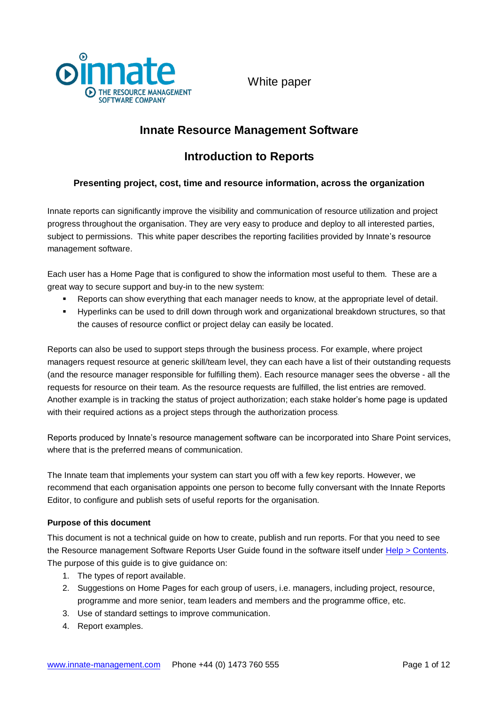

# **Innate Resource Management Software**

# **Introduction to Reports**

## **Presenting project, cost, time and resource information, across the organization**

Innate reports can significantly improve the visibility and communication of resource utilization and project progress throughout the organisation. They are very easy to produce and deploy to all interested parties, subject to permissions. This white paper describes the reporting facilities provided by Innate's resource management software.

Each user has a Home Page that is configured to show the information most useful to them. These are a great way to secure support and buy-in to the new system:

- Reports can show everything that each manager needs to know, at the appropriate level of detail.
- Hyperlinks can be used to drill down through work and organizational breakdown structures, so that the causes of resource conflict or project delay can easily be located.

Reports can also be used to support steps through the business process. For example, where project managers request resource at generic skill/team level, they can each have a list of their outstanding requests (and the resource manager responsible for fulfilling them). Each resource manager sees the obverse - all the requests for resource on their team. As the resource requests are fulfilled, the list entries are removed. Another example is in tracking the status of project authorization; each stake holder's home page is updated with their required actions as a project steps through the authorization process.

Reports produced by Innate's resource management software can be incorporated into Share Point services, where that is the preferred means of communication.

The Innate team that implements your system can start you off with a few key reports. However, we recommend that each organisation appoints one person to become fully conversant with the Innate Reports Editor, to configure and publish sets of useful reports for the organisation.

#### **Purpose of this document**

This document is not a technical guide on how to create, publish and run reports. For that you need to see the Resource management Software Reports User Guide found in the software itself under Help > Contents. The purpose of this guide is to give guidance on:

- 1. The types of report available.
- 2. Suggestions on Home Pages for each group of users, i.e. managers, including project, resource, programme and more senior, team leaders and members and the programme office, etc.
- 3. Use of standard settings to improve communication.
- 4. Report examples.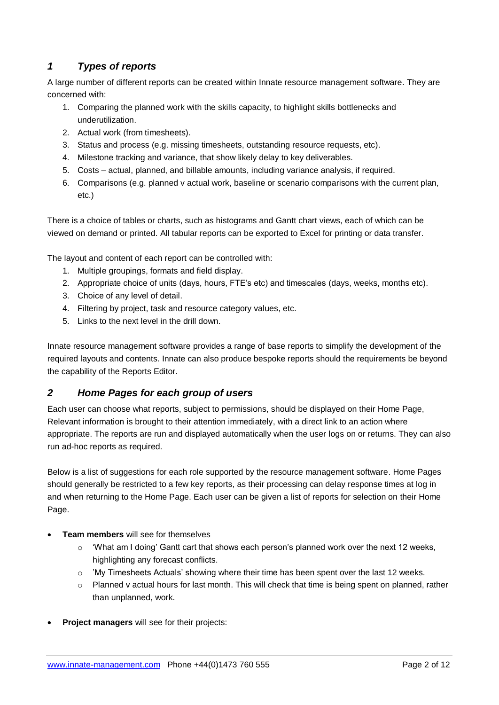# *1 Types of reports*

A large number of different reports can be created within Innate resource management software. They are concerned with:

- 1. Comparing the planned work with the skills capacity, to highlight skills bottlenecks and underutilization.
- 2. Actual work (from timesheets).
- 3. Status and process (e.g. missing timesheets, outstanding resource requests, etc).
- 4. Milestone tracking and variance, that show likely delay to key deliverables.
- 5. Costs actual, planned, and billable amounts, including variance analysis, if required.
- 6. Comparisons (e.g. planned v actual work, baseline or scenario comparisons with the current plan, etc.)

There is a choice of tables or charts, such as histograms and Gantt chart views, each of which can be viewed on demand or printed. All tabular reports can be exported to Excel for printing or data transfer.

The layout and content of each report can be controlled with:

- 1. Multiple groupings, formats and field display.
- 2. Appropriate choice of units (days, hours, FTE's etc) and timescales (days, weeks, months etc).
- 3. Choice of any level of detail.
- 4. Filtering by project, task and resource category values, etc.
- 5. Links to the next level in the drill down.

Innate resource management software provides a range of base reports to simplify the development of the required layouts and contents. Innate can also produce bespoke reports should the requirements be beyond the capability of the Reports Editor.

## *2 Home Pages for each group of users*

Each user can choose what reports, subject to permissions, should be displayed on their Home Page, Relevant information is brought to their attention immediately, with a direct link to an action where appropriate. The reports are run and displayed automatically when the user logs on or returns. They can also run ad-hoc reports as required.

Below is a list of suggestions for each role supported by the resource management software. Home Pages should generally be restricted to a few key reports, as their processing can delay response times at log in and when returning to the Home Page. Each user can be given a list of reports for selection on their Home Page.

- **Team members** will see for themselves
	- $\circ$  'What am I doing' Gantt cart that shows each person's planned work over the next 12 weeks, highlighting any forecast conflicts.
	- o 'My Timesheets Actuals' showing where their time has been spent over the last 12 weeks.
	- $\circ$  Planned v actual hours for last month. This will check that time is being spent on planned, rather than unplanned, work.
- **Project managers** will see for their projects: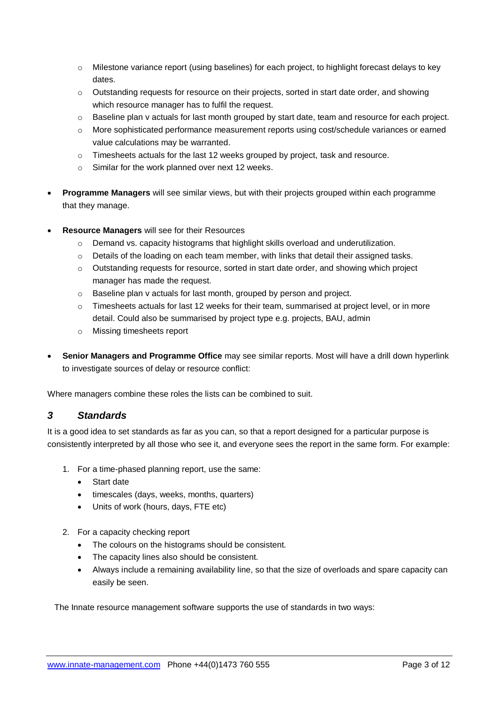- o Milestone variance report (using baselines) for each project, to highlight forecast delays to key dates.
- o Outstanding requests for resource on their projects, sorted in start date order, and showing which resource manager has to fulfil the request.
- $\circ$  Baseline plan v actuals for last month grouped by start date, team and resource for each project.
- o More sophisticated performance measurement reports using cost/schedule variances or earned value calculations may be warranted.
- $\circ$  Timesheets actuals for the last 12 weeks grouped by project, task and resource.
- o Similar for the work planned over next 12 weeks.
- **Programme Managers** will see similar views, but with their projects grouped within each programme that they manage.
- **Resource Managers** will see for their Resources
	- $\circ$  Demand vs. capacity histograms that highlight skills overload and underutilization.
	- $\circ$  Details of the loading on each team member, with links that detail their assigned tasks.
	- o Outstanding requests for resource, sorted in start date order, and showing which project manager has made the request.
	- o Baseline plan v actuals for last month, grouped by person and project.
	- $\circ$  Timesheets actuals for last 12 weeks for their team, summarised at project level, or in more detail. Could also be summarised by project type e.g. projects, BAU, admin
	- o Missing timesheets report
- **Senior Managers and Programme Office** may see similar reports. Most will have a drill down hyperlink to investigate sources of delay or resource conflict:

Where managers combine these roles the lists can be combined to suit.

### *3 Standards*

It is a good idea to set standards as far as you can, so that a report designed for a particular purpose is consistently interpreted by all those who see it, and everyone sees the report in the same form. For example:

- 1. For a time-phased planning report, use the same:
	- Start date
	- timescales (days, weeks, months, quarters)
	- Units of work (hours, days, FTE etc)
- 2. For a capacity checking report
	- The colours on the histograms should be consistent.
	- The capacity lines also should be consistent.
	- Always include a remaining availability line, so that the size of overloads and spare capacity can easily be seen.

The Innate resource management software supports the use of standards in two ways: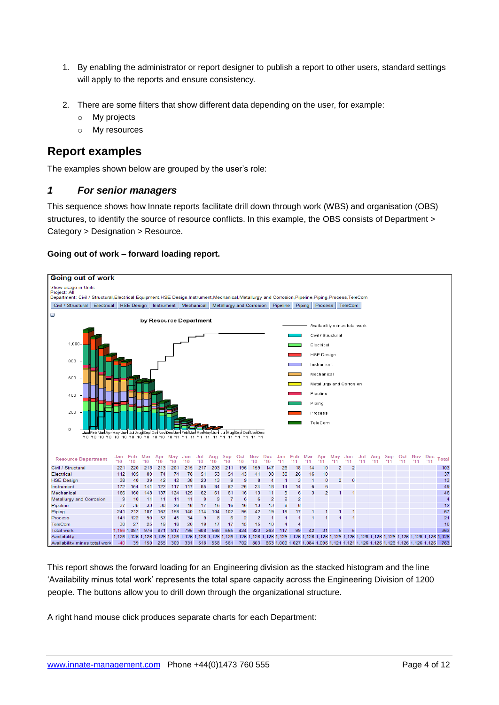- 1. By enabling the administrator or report designer to publish a report to other users, standard settings will apply to the reports and ensure consistency.
- 2. There are some filters that show different data depending on the user, for example:
	- o My projects
	- o My resources

# **Report examples**

The examples shown below are grouped by the user's role:

### *1 For senior managers*

This sequence shows how Innate reports facilitate drill down through work (WBS) and organisation (OBS) structures, to identify the source of resource conflicts. In this example, the OBS consists of Department > Category > Designation > Resource.

#### **Going out of work – forward loading report.**



This report shows the forward loading for an Engineering division as the stacked histogram and the line 'Availability minus total work' represents the total spare capacity across the Engineering Division of 1200 people. The buttons allow you to drill down through the organizational structure.

A right hand mouse click produces separate charts for each Department: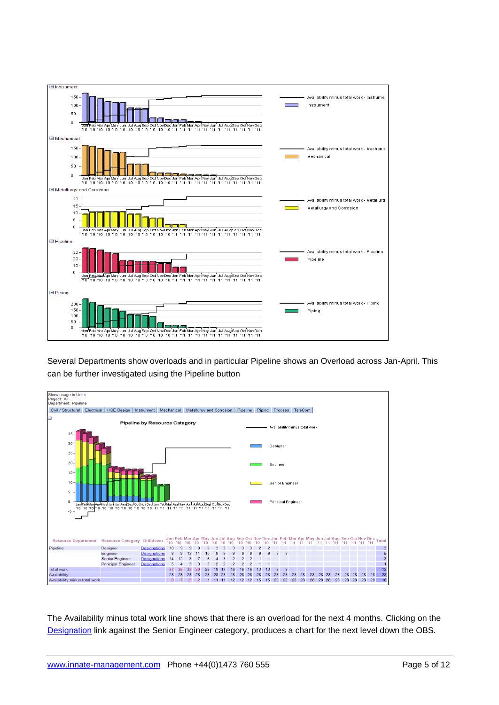

Several Departments show overloads and in particular Pipeline shows an Overload across Jan-April. This can be further investigated using the Pipeline button



The Availability minus total work line shows that there is an overload for the next 4 months. Clicking on the Designation link against the Senior Engineer category, produces a chart for the next level down the OBS.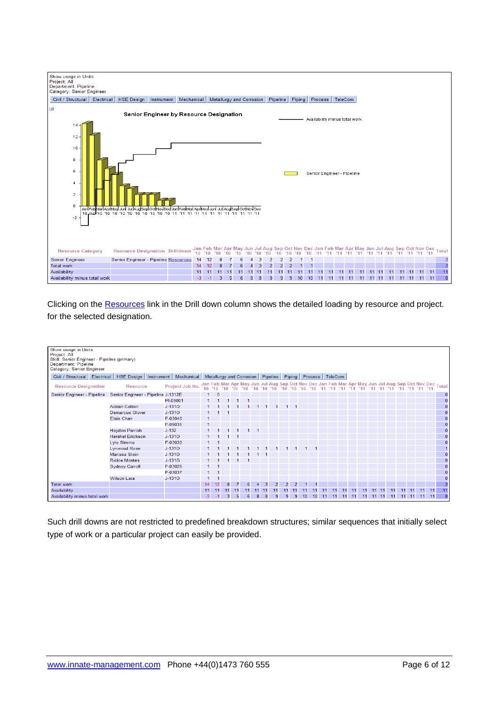

Clicking on the Resources link in the Drill down column shows the detailed loading by resource and project. for the selected designation.

| Show usage in Units<br>Project: All<br>Skill: Senior Engineer - Pipeline (primary)<br>Department: Pipeline<br>Category: Senior Engineer |                         |            |                 |      |      |    |    |                                     |                |     |                |                |                |    |    |    |                            |    |    |    |       |    |  |             |       |                                                                                                       |
|-----------------------------------------------------------------------------------------------------------------------------------------|-------------------------|------------|-----------------|------|------|----|----|-------------------------------------|----------------|-----|----------------|----------------|----------------|----|----|----|----------------------------|----|----|----|-------|----|--|-------------|-------|-------------------------------------------------------------------------------------------------------|
| Civil / Structural   Electrical                                                                                                         | <b>HSE Design</b>       | Instrument | Mechanical      |      |      |    |    | Metallurgy and Corrosion   Pipeline |                |     |                |                |                |    |    |    | Piping   Process   TeleCom |    |    |    |       |    |  |             |       |                                                                                                       |
| <b>Resource Designation</b>                                                                                                             | <b>Resource</b>         |            | Project Job No. |      |      |    |    |                                     |                |     |                |                |                |    |    |    |                            |    |    |    |       |    |  |             |       | Jan Feb Mar Apr May Jun Jul Aug Sep Oct Nov Dec Jan Feb Mar Apr May Jun Jul Aug Sep Oct Nov Dec Total |
| Senior Engineer - Pipeline Senior Engineer - Pipeline J-1312E                                                                           |                         |            |                 |      |      |    |    |                                     |                |     |                |                |                |    |    |    |                            |    |    |    |       |    |  |             |       | $\mathbf{0}$                                                                                          |
|                                                                                                                                         |                         |            | PI-09001        |      |      |    |    |                                     |                |     |                |                |                |    |    |    |                            |    |    |    |       |    |  |             |       | $\overline{0}$                                                                                        |
|                                                                                                                                         | <b>Adrian Cotton</b>    |            | $J-131O$        |      |      |    |    |                                     |                |     |                |                |                |    |    |    |                            |    |    |    |       |    |  |             |       | $\mathbf{0}$                                                                                          |
|                                                                                                                                         | <b>Demarcus Glover</b>  |            | $J - 1310$      |      |      |    |    |                                     |                |     |                |                |                |    |    |    |                            |    |    |    |       |    |  |             |       | $\mathbf{0}$                                                                                          |
|                                                                                                                                         | Elsie Chan              |            | F-03040         |      |      |    |    |                                     |                |     |                |                |                |    |    |    |                            |    |    |    |       |    |  |             |       | $\mathbf{0}$                                                                                          |
|                                                                                                                                         |                         |            | F-09035         |      |      |    |    |                                     |                |     |                |                |                |    |    |    |                            |    |    |    |       |    |  |             |       | $\mathbf 0$                                                                                           |
|                                                                                                                                         | Hayden Parrish          | $J-132$    |                 |      |      |    |    |                                     |                |     |                |                |                |    |    |    |                            |    |    |    |       |    |  |             |       | $\mathbf 0$                                                                                           |
|                                                                                                                                         | <b>Hershel Erickson</b> |            | $J-1310$        |      |      |    |    |                                     |                |     |                |                |                |    |    |    |                            |    |    |    |       |    |  |             |       | $\mathbf 0$                                                                                           |
|                                                                                                                                         | <b>Lyle Simms</b>       |            | F-03030         |      |      |    |    |                                     |                |     |                |                |                |    |    |    |                            |    |    |    |       |    |  |             |       | $\mathbf{0}$                                                                                          |
|                                                                                                                                         | <b>Lynwood Rose</b>     |            | $J-131O$        |      |      |    |    |                                     |                |     |                |                |                |    |    |    |                            |    |    |    |       |    |  |             |       | $\mathbf{1}$                                                                                          |
|                                                                                                                                         | Marissa Stein           |            | $J-131O$        |      |      |    |    |                                     |                | - 1 |                |                |                |    |    |    |                            |    |    |    |       |    |  |             |       | $\mathbf{0}$                                                                                          |
|                                                                                                                                         | <b>Rickie Montes</b>    |            | J-131G          |      |      |    |    |                                     |                |     |                |                |                |    |    |    |                            |    |    |    |       |    |  |             |       | $\mathbf{0}$                                                                                          |
|                                                                                                                                         | <b>Sydney Carroll</b>   |            | F-03026         |      |      |    |    |                                     |                |     |                |                |                |    |    |    |                            |    |    |    |       |    |  |             |       | $\mathbf 0$                                                                                           |
|                                                                                                                                         |                         |            | F-03037         |      |      |    |    |                                     |                |     |                |                |                |    |    |    |                            |    |    |    |       |    |  |             |       | $\mathbf 0$                                                                                           |
|                                                                                                                                         | <b>Wilson Lara</b>      |            | $J-131O$        |      |      |    |    |                                     |                |     |                |                |                |    |    |    |                            |    |    |    |       |    |  |             |       | $\mathbf 0$                                                                                           |
| <b>Total work</b>                                                                                                                       |                         |            |                 | 14   | 12   | 8  |    | 6                                   | $\overline{4}$ | 3   | $\overline{2}$ | $\overline{2}$ | $\overline{2}$ |    |    |    |                            |    |    |    |       |    |  |             |       | $\overline{\mathbf{3}}$                                                                               |
| Availability                                                                                                                            |                         |            |                 | 11   | 11   | 11 | 11 |                                     |                | 11  |                |                | 11             |    |    |    |                            |    |    |    |       |    |  |             | $-11$ | 11                                                                                                    |
| Availability minus total work                                                                                                           |                         |            |                 | $-3$ | $-1$ | 3  | 5  |                                     | 8              | 8   | 9              | 9              | -9             | 10 | 10 | 11 | 11                         | 11 | 11 | 11 | 11 11 | 11 |  | 11 11 11 11 |       | $\overline{\mathbf{8}}$                                                                               |

Such drill downs are not restricted to predefined breakdown structures; similar sequences that initially select type of work or a particular project can easily be provided.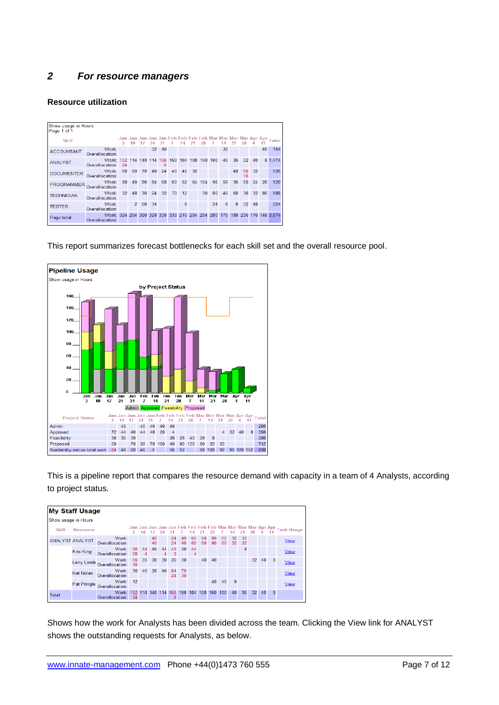# *2 For resource managers*

#### **Resource utilization**

| Show usage in Hours<br>Page 1 of 1 |                                                                                            |    |                |    |                 |     |     |     |     |     |         |    |    |          |    |    |                                                                   |
|------------------------------------|--------------------------------------------------------------------------------------------|----|----------------|----|-----------------|-----|-----|-----|-----|-----|---------|----|----|----------|----|----|-------------------------------------------------------------------|
| Skill                              |                                                                                            | ٦. |                |    |                 | -31 |     | 14  |     |     |         | 14 |    |          |    |    | Jan Jan Jan Jan Jan Feb Feb Feb Feb Mar Mar Mar Mar Apr Apr Total |
| <b>ACCOUNTANT</b>                  | Work:<br>Overallocation:                                                                   |    |                |    | 32 <sup>2</sup> | 40  |     |     |     |     |         | 32 |    |          |    | 40 | 144                                                               |
| <b>ANALYST</b>                     | Work: 152 114 140 114 166<br>Overallocation:                                               | 24 |                |    |                 | 6   | 160 | 104 | 108 |     | 160 100 | 40 | 36 | 32       | 40 |    | 8 1.474                                                           |
| <b>DOCUMENTER</b>                  | Work:<br>Overallocation:                                                                   | 60 | 60             | 70 | 40              | 24  | 40  | 40  | 32  |     |         |    | 48 | 80<br>16 | 32 |    | 526                                                               |
| <b>PROGRAMMER</b>                  | Work:<br>Overallocation:                                                                   | 80 | 40             | 80 | 84              | 68  | 60  | 52  | 64  | 104 | 96      | 56 | 36 | 56       | 24 | 20 | 920                                                               |
| <b>TECHNICIAN</b>                  | Work:<br>Overallocation:                                                                   | 32 | 48             | 30 | 24              | 32  | 70  | 12  |     | 30  | 60      | 40 | 60 | 36       | 32 | 80 | 586                                                               |
| <b>TESTER</b>                      | Work:<br>Overallocation:                                                                   |    | $\overline{2}$ | 60 | -34             |     |     | 8   |     |     | 24      | 8  | 8  | 32       | 48 |    | 224                                                               |
| Page total                         | Work: 324 264 380 328 330 330 216 204 294 280 176 188 236 176 148 3.874<br>Overallocation: |    |                |    |                 |     |     |     |     |     |         |    |    |          |    |    |                                                                   |

This report summarizes forecast bottlenecks for each skill set and the overall resource pool.



This is a pipeline report that compares the resource demand with capacity in a team of 4 Analysts, according to project status.

|                     | <b>My Staff Usage</b>  |                                      |          |         |          |         |          |          |          |          |          |          |          |            |    |       |   |                                                                    |
|---------------------|------------------------|--------------------------------------|----------|---------|----------|---------|----------|----------|----------|----------|----------|----------|----------|------------|----|-------|---|--------------------------------------------------------------------|
| Show usage in Hours |                        |                                      |          |         |          |         |          |          |          |          |          |          |          |            |    |       |   |                                                                    |
| <b>Skill</b>        | Resource               |                                      | 3.       | 10      |          | 24      | -31      |          | 14       | -21      | 28       |          | 14       |            |    |       |   | Jan Jan Jan Jan Jan Feb Feb Feb Feb Mar Mar Mar Apr Apr Task Usage |
|                     | <b>ANALYST ANALYST</b> | Work:<br>Overallocation:             |          |         | 40<br>40 |         | 24<br>24 | 40<br>40 | 60<br>60 | 68<br>68 | 80<br>80 | 60<br>60 | 32<br>32 | -32<br>-32 |    |       |   | <b>View</b>                                                        |
|                     | Kris King              | Work:<br>Overallocation:             | 60<br>28 | 44<br>4 | 40       | 44<br>4 | 48<br>8  | 20       | 44<br>4  |          |          |          |          | 4          |    |       |   | <b>View</b>                                                        |
|                     |                        | Work:<br>Larry Lamb Overallocation:  | 50<br>18 | 30      | 30       | 30      | 30       | 30       |          | 40       | 40       |          |          |            |    | 32 40 | 8 | <b>View</b>                                                        |
|                     | Nat Nolan              | Work:<br>Overallocation:             | 30       | 40      | 30       | 40      | 64<br>24 | 70<br>30 |          |          |          |          |          |            |    |       |   | <b>View</b>                                                        |
|                     |                        | Work:<br>Pat Pringle Overallocation: | 12       |         |          |         |          |          |          |          | 40       | 40       | 8        |            |    |       |   | <b>View</b>                                                        |
| Total               |                        | Work: 152<br>Overallocation:         | 24       | 114     | 140      | 114     | 166<br>6 | 160      | 104      | 108      | 160      | 100      | 40       | 36         | 32 | 40    | 8 |                                                                    |

Shows how the work for Analysts has been divided across the team. Clicking the View link for ANALYST shows the outstanding requests for Analysts, as below.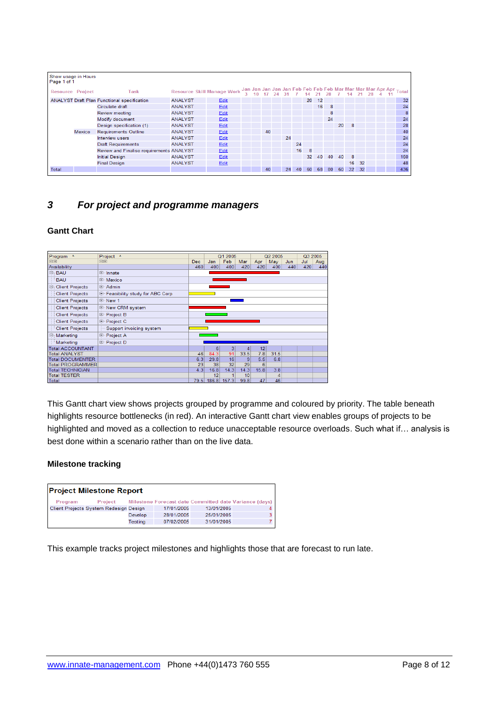| Show usage in Hours<br>Page 1 of 1 |        |                                                    |                                   |      |  |    |    |    |    |    |    |     |    |    |  |                                                               |
|------------------------------------|--------|----------------------------------------------------|-----------------------------------|------|--|----|----|----|----|----|----|-----|----|----|--|---------------------------------------------------------------|
| <b>Resource Project</b>            |        | Task                                               | <b>Resource Skill Manage Work</b> |      |  |    |    |    |    |    |    |     |    |    |  | Jan Jan Jan Jan Jan Feb Feb Feb Mar Mar Mar Mar Apr Apr Total |
|                                    |        | <b>ANALYST Draft Plan Functional specification</b> | <b>ANALYST</b>                    | Edit |  |    |    |    | 20 | 12 |    |     |    |    |  | 32                                                            |
|                                    |        | Circulate draft                                    | <b>ANALYST</b>                    | Edit |  |    |    |    |    | 16 | 8  |     |    |    |  | 24                                                            |
|                                    |        | Review meeting                                     | <b>ANALYST</b>                    | Edit |  |    |    |    |    |    | 8  |     |    |    |  | 8                                                             |
|                                    |        | Modify document                                    | <b>ANALYST</b>                    | Edit |  |    |    |    |    |    | 24 |     |    |    |  | 24                                                            |
|                                    |        | Design specification (1)                           | <b>ANALYST</b>                    | Edit |  |    |    |    |    |    |    | 20  | 8  |    |  | 28                                                            |
|                                    | Mexico | <b>Requirements Outline</b>                        | <b>ANALYST</b>                    | Edit |  | 40 |    |    |    |    |    |     |    |    |  | 40                                                            |
|                                    |        | <b>Interview users</b>                             | <b>ANALYST</b>                    | Edit |  |    | 24 |    |    |    |    |     |    |    |  | 24                                                            |
|                                    |        | <b>Draft Requirements</b>                          | <b>ANALYST</b>                    | Edit |  |    |    | 24 |    |    |    |     |    |    |  | 24                                                            |
|                                    |        | Review and Finalise requirements ANALYST           |                                   | Edit |  |    |    | 16 | -8 |    |    |     |    |    |  | 24                                                            |
|                                    |        | <b>Initial Design</b>                              | <b>ANALYST</b>                    | Edit |  |    |    |    | 32 | 40 | 40 | 40  | 8  |    |  | 160                                                           |
|                                    |        | <b>Final Design</b>                                | <b>ANALYST</b>                    | Edit |  |    |    |    |    |    |    |     | 16 | 32 |  | 48                                                            |
| Total                              |        |                                                    |                                   |      |  | 40 | 24 | 40 | 60 | 68 | 80 | -60 | 32 | 32 |  | 436                                                           |

## *3 For project and programme managers*

### **Gantt Chart**

| Program ^                | Project ^                        |      |       | Q1 2005 |      |      | Q2 2005 |     | Q3 2005 |     |
|--------------------------|----------------------------------|------|-------|---------|------|------|---------|-----|---------|-----|
| 日田                       | 日田                               | Dec. | Jan   | Feb     | Mar  | Apr  | May     | Jun | Jul     | Aug |
| Availability             |                                  | 460  | 400   | 400     | 420  | 420  | 400     | 440 | 420     | 440 |
| <b>E</b> BAU             | 国·Innate                         |      |       |         |      |      |         |     |         |     |
| <b>BAU</b>               | E Mexico                         |      |       |         |      |      |         |     |         |     |
| <b>E</b> Client Projects | 国· Admin                         |      |       |         |      |      |         |     |         |     |
| <b>Client Projects</b>   | E-Feasibility study for ABC Corp |      |       |         |      |      |         |     |         |     |
| <b>Client Projects</b>   | 由 New 1                          |      |       |         |      |      |         |     |         |     |
| <b>Client Projects</b>   | E New CRM system                 |      |       |         |      |      |         |     |         |     |
| <b>Client Projects</b>   | 中·Project B                      |      |       |         |      |      |         |     |         |     |
| <b>Client Projects</b>   | 中 Project C                      |      |       |         |      |      |         |     |         |     |
| <b>Client Projects</b>   | Support invoicing system         |      |       |         |      |      |         |     |         |     |
| <b>日 Marketing</b>       | 中 Project A                      |      |       |         |      |      |         |     |         |     |
| Marketing                | 中 Project D                      |      |       |         |      |      |         |     |         |     |
| <b>Total ACCOUNTANT</b>  |                                  |      | 6     | 3       | 4    | 12   |         |     |         |     |
| <b>Total ANALYST</b>     |                                  | 46   | 84.3  | 91      | 33.5 | 7.8  | 31.5    |     |         |     |
| <b>Total DOCUMENTER</b>  |                                  | 6.3  | 29.8  | 16      | 9    | 5.5  | 6.8     |     |         |     |
| <b>Total PROGRAMMER</b>  |                                  | 23   | 38    | 32      | 29   | 6    |         |     |         |     |
| <b>Total TECHNICIAN</b>  |                                  | 4.3  | 16.8  | 14.3    | 14.3 | 15.8 | 3.8     |     |         |     |
| <b>Total TESTER</b>      |                                  |      | 12    |         | 10   |      | 4       |     |         |     |
| Total                    |                                  | 79.5 | 186.8 | 157.3   | 99.8 | 47   | 46      |     |         |     |

This Gantt chart view shows projects grouped by programme and coloured by priority. The table beneath highlights resource bottlenecks (in red). An interactive Gantt chart view enables groups of projects to be highlighted and moved as a collection to reduce unacceptable resource overloads. Such what if… analysis is best done within a scenario rather than on the live data.

#### **Milestone tracking**

|         | <b>Project Milestone Report</b>        |         |            |                                                        |  |
|---------|----------------------------------------|---------|------------|--------------------------------------------------------|--|
| Program | <b>Project</b>                         |         |            | Milestone Forecast date Committed date Variance (days) |  |
|         | Client Projects System Redesign Design |         | 17/01/2005 | 13/01/2005                                             |  |
|         |                                        | Develop | 28/01/2005 | 25/01/2005                                             |  |
|         |                                        | Testing | 07/02/2005 | 31/01/2005                                             |  |

This example tracks project milestones and highlights those that are forecast to run late.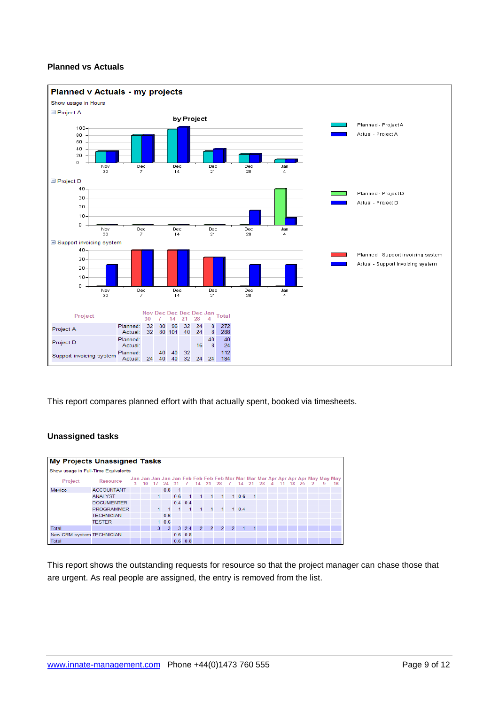### **Planned vs Actuals**



This report compares planned effort with that actually spent, booked via timesheets.

## **Unassigned tasks**

| <b>My Projects Unassigned Tasks</b> |                   |    |    |                |                |              |                 |                |              |    |             |           |                |  |  |                                    |                                                                                       |
|-------------------------------------|-------------------|----|----|----------------|----------------|--------------|-----------------|----------------|--------------|----|-------------|-----------|----------------|--|--|------------------------------------|---------------------------------------------------------------------------------------|
| Show usage in Full-Time Equivalents |                   |    |    |                |                |              |                 |                |              |    |             |           |                |  |  |                                    |                                                                                       |
| <b>Project</b>                      | Resource          | 3. | 10 |                | 17 24 31 7     |              |                 |                |              |    |             |           |                |  |  | 14 21 28 7 14 21 28 4 11 18 25 2 9 | Jan Jan Jan Jan Jan Feb Feb Feb Feb Mar Mar Mar Mar Apr Apr Apr Apr May May May<br>16 |
| Mexico                              | <b>ACCOUNTANT</b> |    |    |                | 0.8            | $-1$         |                 |                |              |    |             |           |                |  |  |                                    |                                                                                       |
|                                     | <b>ANALYST</b>    |    |    | $\blacksquare$ |                | 0.6          | $\mathbf{1}$    | 1              | $\mathbf{1}$ |    | $1^{\circ}$ | 106       | $\overline{1}$ |  |  |                                    |                                                                                       |
|                                     | <b>DOCUMENTER</b> |    |    |                |                |              | $0.4$ 0.4       |                |              |    |             |           |                |  |  |                                    |                                                                                       |
|                                     | <b>PROGRAMMER</b> |    |    |                |                | $\mathbf{1}$ | $\mathbf{1}$    |                | $1 \quad 1$  | 1. |             | $1 \t0.4$ |                |  |  |                                    |                                                                                       |
|                                     | <b>TECHNICIAN</b> |    |    |                | 0.6            |              |                 |                |              |    |             |           |                |  |  |                                    |                                                                                       |
|                                     | <b>TESTER</b>     |    |    |                | 10.6           |              |                 |                |              |    |             |           |                |  |  |                                    |                                                                                       |
| Total                               |                   |    |    | 3              | 3 <sup>1</sup> |              | $3 \t2.4$       | $\overline{2}$ | $2^{\circ}$  |    | $2 \quad 2$ | -41       | $\mathbf{1}$   |  |  |                                    |                                                                                       |
| New CRM system TECHNICIAN           |                   |    |    |                |                |              | $0.6 \quad 0.8$ |                |              |    |             |           |                |  |  |                                    |                                                                                       |
| Total                               |                   |    |    |                |                |              | $0.6$ 0.8       |                |              |    |             |           |                |  |  |                                    |                                                                                       |

This report shows the outstanding requests for resource so that the project manager can chase those that are urgent. As real people are assigned, the entry is removed from the list.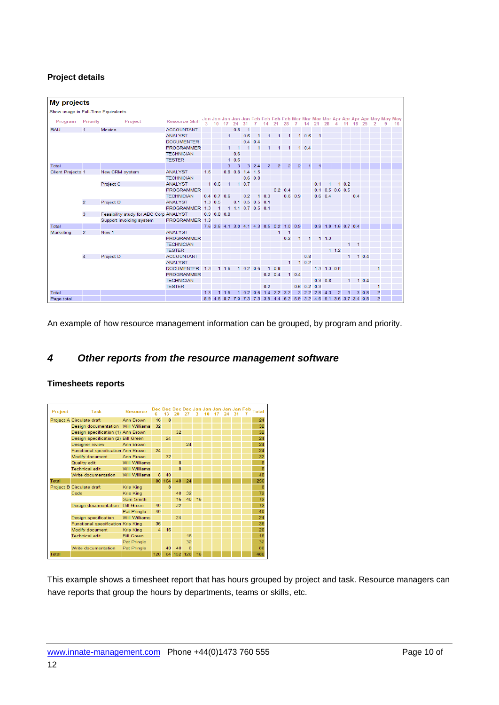### **Project details**

| <b>My projects</b>                  |                |                                        |                       |     |                 |                      |                   |             |                     |                |                 |                 |                                                                     |               |                |                       |                |      |              |           |                |                                                                                   |
|-------------------------------------|----------------|----------------------------------------|-----------------------|-----|-----------------|----------------------|-------------------|-------------|---------------------|----------------|-----------------|-----------------|---------------------------------------------------------------------|---------------|----------------|-----------------------|----------------|------|--------------|-----------|----------------|-----------------------------------------------------------------------------------|
| Show usage in Full-Time Equivalents |                |                                        |                       |     |                 |                      |                   |             |                     |                |                 |                 |                                                                     |               |                |                       |                |      |              |           |                |                                                                                   |
| Program                             | Priority       | Project                                | <b>Resource Skill</b> |     | $3 - 10$        | 17                   | 24                |             |                     |                | 21              | 28              |                                                                     | 14            | 21             | 28                    | $\overline{4}$ |      | 11 18        | 25        |                | Jan Jan Jan Jan Jan Feb Feb Feb Feb Mar Mar Mar Mar Apr Apr Apr May May May<br>16 |
| <b>BAU</b>                          | $\blacksquare$ | Mexico                                 | <b>ACCOUNTANT</b>     |     |                 |                      | 0.8               | -1          |                     |                |                 |                 |                                                                     |               |                |                       |                |      |              |           |                |                                                                                   |
|                                     |                |                                        | <b>ANALYST</b>        |     |                 | 1                    |                   | 0.6         |                     |                | 1               | 1               |                                                                     | 10.6          | $\overline{1}$ |                       |                |      |              |           |                |                                                                                   |
|                                     |                |                                        | <b>DOCUMENTER</b>     |     |                 |                      |                   | 0.4         | 0 <sub>4</sub>      |                |                 |                 |                                                                     |               |                |                       |                |      |              |           |                |                                                                                   |
|                                     |                |                                        | <b>PROGRAMMER</b>     |     |                 | 1.                   | $\overline{1}$    | 1           |                     | 4              |                 |                 |                                                                     | $1 \t0.4$     |                |                       |                |      |              |           |                |                                                                                   |
|                                     |                |                                        | <b>TECHNICIAN</b>     |     |                 |                      | 0.6               |             |                     |                |                 |                 |                                                                     |               |                |                       |                |      |              |           |                |                                                                                   |
|                                     |                |                                        | <b>TESTER</b>         |     |                 |                      | 10.6              |             |                     |                |                 |                 |                                                                     |               |                |                       |                |      |              |           |                |                                                                                   |
| Total                               |                |                                        |                       |     |                 | 3                    | 3                 |             | $3 \t2.4$           | $\overline{2}$ | $\overline{2}$  | $\overline{2}$  | $\overline{2}$                                                      | 1             |                |                       |                |      |              |           |                |                                                                                   |
| <b>Client Projects 1</b>            |                | New CRM system                         | <b>ANAI YST</b>       | 16  |                 |                      | $0.8$ 0.8 1.4 1.5 |             |                     |                |                 |                 |                                                                     |               |                |                       |                |      |              |           |                |                                                                                   |
|                                     |                |                                        | <b>TECHNICIAN</b>     |     |                 |                      |                   |             | $0.6$ $0.8$         |                |                 |                 |                                                                     |               |                |                       |                |      |              |           |                |                                                                                   |
|                                     |                | Project C                              | <b>ANALYST</b>        |     | 10.6            | $\blacktriangleleft$ |                   | $1 \t0.7$   |                     |                |                 |                 |                                                                     |               | 0 <sub>1</sub> |                       |                | 10.2 |              |           |                |                                                                                   |
|                                     |                |                                        | <b>PROGRAMMER</b>     |     |                 |                      |                   |             |                     |                |                 | $0.2 \quad 0.4$ |                                                                     |               | 0.1            |                       | $0.5$ 0.6 0.5  |      |              |           |                |                                                                                   |
|                                     |                |                                        | <b>TECHNICIAN</b>     |     | $0.4$ 0.7 0.6   |                      |                   | 0.2         |                     | $1 \t0.3$      |                 |                 | $0.6$ 0.9                                                           |               |                | $0.6$ 0.4             |                |      | 0.4          |           |                |                                                                                   |
|                                     | $\overline{2}$ | Project B                              | <b>ANALYST</b>        |     | $1.3 \quad 0.5$ |                      |                   | $0.1 \ 0.5$ |                     | $0.5$ 0.1      |                 |                 |                                                                     |               |                |                       |                |      |              |           |                |                                                                                   |
|                                     |                |                                        | PROGRAMMER 1.3        |     | $\mathbf{1}$    |                      |                   |             | $1$ 1.1 0.7 0.5 0.1 |                |                 |                 |                                                                     |               |                |                       |                |      |              |           |                |                                                                                   |
|                                     | 3              | Feasibility study for ABC Corp ANALYST |                       |     | $0.9$ 0.8 0.8   |                      |                   |             |                     |                |                 |                 |                                                                     |               |                |                       |                |      |              |           |                |                                                                                   |
|                                     |                | Support invoicing system               | PROGRAMMER 1.3        |     |                 |                      |                   |             |                     |                |                 |                 |                                                                     |               |                |                       |                |      |              |           |                |                                                                                   |
| Total                               |                |                                        |                       |     |                 |                      |                   |             |                     |                |                 |                 | 7.6 3.6 4.1 3.0 4.1 4.3 0.5 0.2 1.0 0.9                             |               |                | $0.9$ 1.9 1.6 0.7 0.4 |                |      |              |           |                |                                                                                   |
| Marketing                           | $\overline{2}$ | New 1                                  | <b>ANAI YST</b>       |     |                 |                      |                   |             |                     |                | 1               | $\overline{1}$  |                                                                     |               |                |                       |                |      |              |           |                |                                                                                   |
|                                     |                |                                        | <b>PROGRAMMER</b>     |     |                 |                      |                   |             |                     |                |                 | 0.2             | 1                                                                   | 1             |                | $1 \t1.3$             |                |      |              |           |                |                                                                                   |
|                                     |                |                                        | <b>TECHNICIAN</b>     |     |                 |                      |                   |             |                     |                |                 |                 |                                                                     |               |                |                       |                | 1    | $\mathbf{1}$ |           |                |                                                                                   |
|                                     |                |                                        | <b>TESTER</b>         |     |                 |                      |                   |             |                     |                |                 |                 |                                                                     |               |                |                       | 112            |      |              |           |                |                                                                                   |
|                                     | 4              | Project D                              | <b>ACCOUNTANT</b>     |     |                 |                      |                   |             |                     |                |                 |                 |                                                                     | 0.8           |                |                       |                | 1    |              | $1 \ 0.4$ |                |                                                                                   |
|                                     |                |                                        | <b>ANALYST</b>        |     |                 |                      |                   |             |                     |                |                 |                 |                                                                     | $1 \t0.2$     |                |                       |                |      |              |           |                |                                                                                   |
|                                     |                |                                        | <b>DOCUMENTER</b>     | 1.3 |                 | 11.6                 |                   |             | 10.20.6             |                | $1 \t0.8$       |                 |                                                                     |               |                | $1.3$ $1.3$ 0.8       |                |      |              |           | 1              |                                                                                   |
|                                     |                |                                        | <b>PROGRAMMER</b>     |     |                 |                      |                   |             |                     |                | $0.2 \quad 0.4$ |                 | $1 \t0.4$                                                           |               |                |                       |                |      |              |           |                |                                                                                   |
|                                     |                |                                        | <b>TECHNICIAN</b>     |     |                 |                      |                   |             |                     |                |                 |                 |                                                                     |               |                | $0.3 \ 0.8$           |                | 1    |              | 10.4      |                |                                                                                   |
|                                     |                |                                        | <b>TESTER</b>         |     |                 |                      |                   |             |                     | 0.2            |                 |                 |                                                                     | $0.6$ 0.2 0.3 |                |                       |                |      |              |           | 1              |                                                                                   |
| Total                               |                |                                        |                       | 13  |                 | 116                  |                   |             | 10.20.6             |                | $1.4$ 2.2 3.2   |                 |                                                                     | $3$ 2.2 2.8   |                | 4.3                   | $\overline{2}$ | з    |              | 30.8      | $\overline{2}$ |                                                                                   |
| Page total                          |                |                                        |                       |     |                 |                      |                   |             |                     |                |                 |                 | 8.9 4.6 8.7 7.0 7.3 7.3 3.9 4.4 6.2 5.9 3.2 4.6 6.1 3.6 3.7 3.4 0.8 |               |                |                       |                |      |              |           | $\overline{2}$ |                                                                                   |

An example of how resource management information can be grouped, by program and priority.

## *4 Other reports from the resource management software*

### **Timesheets reports**



This example shows a timesheet report that has hours grouped by project and task. Resource managers can have reports that group the hours by departments, teams or skills, etc.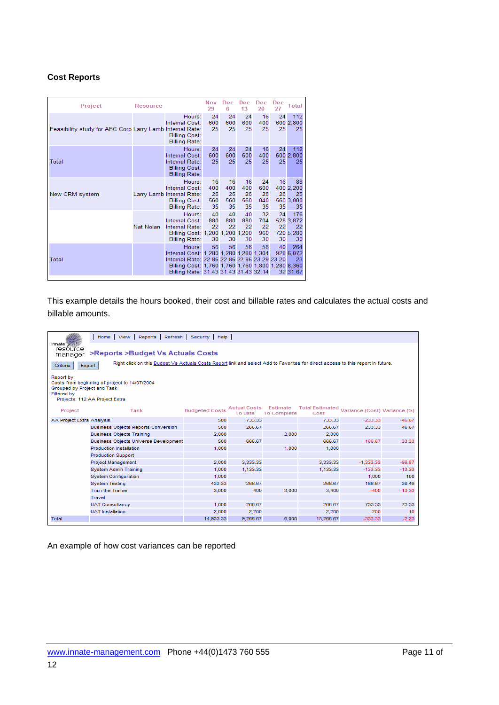### **Cost Reports**

| Project                                                  | <b>Resource</b>  |                                                                                                                                                                                                | Nov<br>29                    | Dec<br>6                     | <b>Dec</b><br>13             | Dec<br>20                    | <b>Dec</b><br>27 | <b>Total</b>                              |
|----------------------------------------------------------|------------------|------------------------------------------------------------------------------------------------------------------------------------------------------------------------------------------------|------------------------------|------------------------------|------------------------------|------------------------------|------------------|-------------------------------------------|
| Feasibility study for ABC Corp Larry Lamb Internal Rate: |                  | Hours:<br>Internal Cost:<br><b>Billing Cost:</b><br><b>Billing Rate:</b>                                                                                                                       | 24<br>600<br>25              | 24<br>600<br>25              | 24<br>600<br>25              | 16<br>400<br>25              | 24<br>25         | 112<br>600 2.800<br>25                    |
| Total                                                    |                  | Hours:<br>Internal Cost:<br>Internal Rate:<br><b>Billing Cost:</b><br><b>Billing Rate:</b>                                                                                                     | 24<br>600<br>25              | 24<br>600<br>25              | 24<br>600<br>25              | 16<br>400<br>25              | 24<br>25         | 112<br>600 2,800<br>25                    |
| New CRM system                                           |                  | Hours:<br>Internal Cost:<br>Larry Lamb Internal Rate:<br><b>Billing Cost:</b><br><b>Billing Rate:</b>                                                                                          | 16<br>400<br>25<br>560<br>35 | 16<br>400<br>25<br>560<br>35 | 16<br>400<br>25<br>560<br>35 | 24<br>600<br>25<br>840<br>35 | 16<br>25<br>35   | 88<br>400 2,200<br>25<br>560 3,080<br>35  |
|                                                          | <b>Nat Nolan</b> | Hours:<br>Internal Cost:<br>Internal Rate:<br>Billing Cost: 1,200 1,200 1,200<br><b>Billing Rate:</b>                                                                                          | 40<br>880<br>22<br>30        | 40<br>880<br>22<br>30        | 40<br>880<br>22<br>30        | 32<br>704<br>22<br>960<br>30 | 24<br>22<br>30   | 176<br>528 3,872<br>22<br>720 5.280<br>30 |
| Total                                                    |                  | Hours:<br>Internal Cost: 1,280 1,280 1,280 1,304<br>Internal Rate: 22.86 22.86 22.86 23.29 23.20<br>Billing Cost: 1,760 1,760 1,760 1,800 1,280 8,360<br>Billing Rate: 31.43 31.43 31.43 32.14 | 56                           | 56                           | 56                           | 56                           | 40               | 264<br>928 6.072<br>23<br>32 31.67        |

This example details the hours booked, their cost and billable rates and calculates the actual costs and billable amounts.

|                                                          | Home   View   Reports   Refresh   Security   Help                                                                               |                       |                                       |                    |           |                                                       |          |
|----------------------------------------------------------|---------------------------------------------------------------------------------------------------------------------------------|-----------------------|---------------------------------------|--------------------|-----------|-------------------------------------------------------|----------|
| innate <b>William</b><br>resource<br>manager             | >Reports >Budget Vs Actuals Costs                                                                                               |                       |                                       |                    |           |                                                       |          |
| Criteria<br><b>Export</b>                                | Right click on this Budget Vs Actuals Costs Report link and select Add to Favorites for direct access to this report in future. |                       |                                       |                    |           |                                                       |          |
| Report by:<br>Grouped by Project and Task<br>Filtered by | Costs from beginning of project to 14/07/2004<br>Projects: 112:AA Project Extra                                                 |                       |                                       |                    |           |                                                       |          |
| Project                                                  | Task                                                                                                                            | <b>Budgeted Costs</b> | <b>Actual Costs</b><br><b>To Date</b> | <b>To Complete</b> | Cost      | Estimate Total Estimated Variance (Cost) Variance (%) |          |
| AA Project Extra Analysis                                |                                                                                                                                 | 500                   | 733.33                                |                    | 733.33    | $-233.33$                                             | $-46.67$ |
|                                                          | <b>Business Objects Reports Conversion</b>                                                                                      | 500                   | 266.67                                |                    | 266.67    | 233.33                                                | 46.67    |
|                                                          | <b>Business Objects Training</b>                                                                                                | 2,000                 |                                       | 2.000              | 2.000     |                                                       |          |
|                                                          | <b>Business Objects Universe Development</b>                                                                                    | 500                   | 666.67                                |                    | 666.67    | $-166.67$                                             | $-33.33$ |
|                                                          | Production Installation                                                                                                         | 1,000                 |                                       | 1.000              | 1,000     |                                                       |          |
|                                                          | <b>Production Support</b>                                                                                                       |                       |                                       |                    |           |                                                       |          |
|                                                          | <b>Project Management</b>                                                                                                       | 2.000                 | 3.333.33                              |                    | 3.333.33  | $-1.333.33$                                           | $-66.67$ |
|                                                          | <b>System Admin Training</b>                                                                                                    | 1,000                 | 1.133.33                              |                    | 1,133.33  | $-133.33$                                             | $-13.33$ |
|                                                          | <b>System Configuration</b>                                                                                                     | 1,000                 |                                       |                    |           | 1.000                                                 | 100      |
|                                                          | <b>System Testing</b>                                                                                                           | 433.33                | 266.67                                |                    | 266.67    | 166.67                                                | 38.46    |
|                                                          | <b>Train the Trainer</b>                                                                                                        | 3,000                 | 400                                   | 3,000              | 3,400     | $-400$                                                | $-13.33$ |
|                                                          | Travel                                                                                                                          |                       |                                       |                    |           |                                                       |          |
|                                                          | <b>UAT Consultancy</b>                                                                                                          | 1.000                 | 266.67                                |                    | 266.67    | 733.33                                                | 73.33    |
|                                                          | <b>UAT</b> Installation                                                                                                         | 2,000                 | 2.200                                 |                    | 2.200     | $-200$                                                | $-10$    |
| Total                                                    |                                                                                                                                 | 14.933.33             | 9.266.67                              | 6.000              | 15.266.67 | $-333.33$                                             | $-2.23$  |

An example of how cost variances can be reported